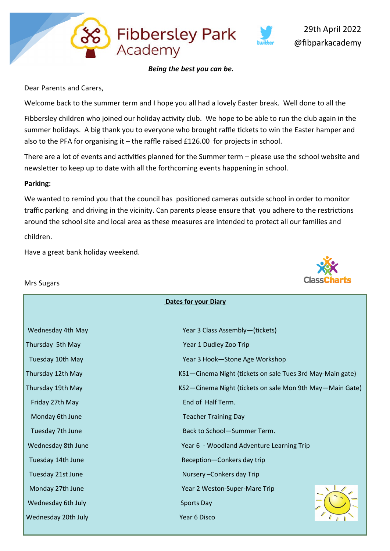

### *Being the best you can be.*

Fibbersley Park<br>Academy

Dear Parents and Carers,

Welcome back to the summer term and I hope you all had a lovely Easter break. Well done to all the

Fibbersley children who joined our holiday activity club. We hope to be able to run the club again in the summer holidays. A big thank you to everyone who brought raffle tickets to win the Easter hamper and also to the PFA for organising it – the raffle raised £126.00 for projects in school.

There are a lot of events and activities planned for the Summer term – please use the school website and newsletter to keep up to date with all the forthcoming events happening in school.

### **Parking:**

We wanted to remind you that the council has positioned cameras outside school in order to monitor traffic parking and driving in the vicinity. Can parents please ensure that you adhere to the restrictions around the school site and local area as these measures are intended to protect all our families and children.

Have a great bank holiday weekend.

Mrs Sugars

### **Dates for your Diary**

| Wednesday 4th May   | Year 3 Class Assembly-(tickets)                           |  |  |
|---------------------|-----------------------------------------------------------|--|--|
| Thursday 5th May    | Year 1 Dudley Zoo Trip                                    |  |  |
| Tuesday 10th May    | Year 3 Hook-Stone Age Workshop                            |  |  |
| Thursday 12th May   | KS1-Cinema Night (tickets on sale Tues 3rd May-Main gate) |  |  |
| Thursday 19th May   | KS2—Cinema Night (tickets on sale Mon 9th May—Main Gate)  |  |  |
| Friday 27th May     | End of Half Term.                                         |  |  |
| Monday 6th June     | <b>Teacher Training Day</b>                               |  |  |
| Tuesday 7th June    | Back to School-Summer Term.                               |  |  |
| Wednesday 8th June  | Year 6 - Woodland Adventure Learning Trip                 |  |  |
| Tuesday 14th June   | Reception-Conkers day trip                                |  |  |
| Tuesday 21st June   | Nursery-Conkers day Trip                                  |  |  |
| Monday 27th June    | Year 2 Weston-Super-Mare Trip                             |  |  |
| Wednesday 6th July  | <b>Sports Day</b>                                         |  |  |
| Wednesday 20th July | Year 6 Disco                                              |  |  |

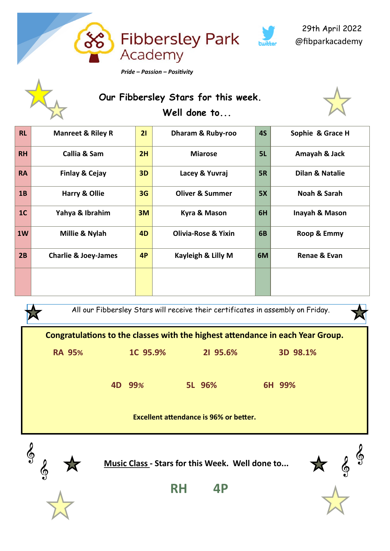



穴

# **Our Fibbersley Stars for this week. Well done to...**



| <b>RL</b>      | <b>Manreet &amp; Riley R</b>    | 21             | Dharam & Ruby-roo              | <b>4S</b> | Sophie & Grace H           |
|----------------|---------------------------------|----------------|--------------------------------|-----------|----------------------------|
| <b>RH</b>      | Callia & Sam                    | 2H             | <b>Miarose</b>                 | 5L        | Amayah & Jack              |
| <b>RA</b>      | <b>Finlay &amp; Cejay</b>       | 3D             | Lacey & Yuvraj                 | 5R        | <b>Dilan &amp; Natalie</b> |
| 1B             | <b>Harry &amp; Ollie</b>        | 3G             | <b>Oliver &amp; Summer</b>     | 5X        | Noah & Sarah               |
| 1 <sub>C</sub> | Yahya & Ibrahim                 | 3M             | Kyra & Mason                   | 6H        | Inayah & Mason             |
| 1W             | Millie & Nylah                  | 4 <sub>D</sub> | <b>Olivia-Rose &amp; Yixin</b> | 6B        | Roop & Emmy                |
| 2B             | <b>Charlie &amp; Joey-James</b> | 4P             | Kayleigh & Lilly M             | 6M        | Renae & Evan               |
|                |                                 |                |                                |           |                            |

All our Fibbersley Stars will receive their certificates in assembly on Friday.





**Music Class - Stars for this Week. Well done to...**







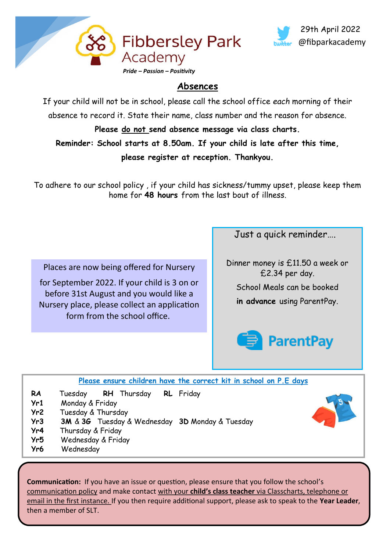



## **Absences**

If your child will not be in school, please call the school office *each* morning of their absence to record it. State their name, class number and the reason for absence.

**Please do not send absence message via class charts. Reminder: School starts at 8.50am. If your child is late after this time, please register at reception. Thankyou.**

To adhere to our school policy , if your child has sickness/tummy upset, please keep them home for **48 hours** from the last bout of illness.

Places are now being offered for Nursery

for September 2022. If your child is 3 on or before 31st August and you would like a Nursery place, please collect an application form from the school office.

Just a quick reminder….

Dinner money is £11.50 a week or £2.34 per day.

School Meals can be booked

**in advance** using ParentPay.



**Please ensure children have the correct kit in school on P.E days**

- **RA** Tuesday **RH** Thursday **RL** Friday
- **Yr1** Monday & Friday
- **Yr2** Tuesday & Thursday
- **Yr3 3M** & **3G** Tuesday & Wednesday **3D** Monday & Tuesday
- **Yr4** Thursday & Friday
- **Yr5** Wednesday & Friday
- **Yr6** Wednesday

**Communication:** If you have an issue or question, please ensure that you follow the school's communication policy and make contact with your **child's class teacher** via Classcharts, telephone or email in the first instance. If you then require additional support, please ask to speak to the **Year Leader**, then a member of SLT.